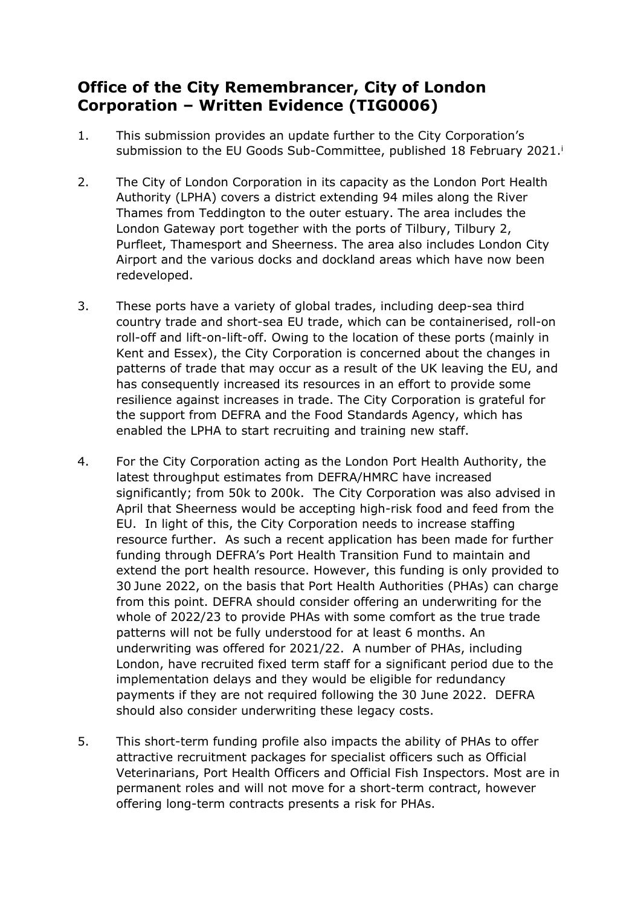## **Office of the City Remembrancer, City of London Corporation – Written Evidence (TIG0006)**

- 1. This submission provides an update further to the City Corporation's submission to the EU Goods Sub-Committee, published 18 February 2021.<sup>i</sup>
- 2. The City of London Corporation in its capacity as the London Port Health Authority (LPHA) covers a district extending 94 miles along the River Thames from Teddington to the outer estuary. The area includes the London Gateway port together with the ports of Tilbury, Tilbury 2, Purfleet, Thamesport and Sheerness. The area also includes London City Airport and the various docks and dockland areas which have now been redeveloped.
- 3. These ports have a variety of global trades, including deep-sea third country trade and short-sea EU trade, which can be containerised, roll-on roll-off and lift-on-lift-off. Owing to the location of these ports (mainly in Kent and Essex), the City Corporation is concerned about the changes in patterns of trade that may occur as a result of the UK leaving the EU, and has consequently increased its resources in an effort to provide some resilience against increases in trade. The City Corporation is grateful for the support from DEFRA and the Food Standards Agency, which has enabled the LPHA to start recruiting and training new staff.
- 4. For the City Corporation acting as the London Port Health Authority, the latest throughput estimates from DEFRA/HMRC have increased significantly; from 50k to 200k. The City Corporation was also advised in April that Sheerness would be accepting high-risk food and feed from the EU. In light of this, the City Corporation needs to increase staffing resource further. As such a recent application has been made for further funding through DEFRA's Port Health Transition Fund to maintain and extend the port health resource. However, this funding is only provided to 30 June 2022, on the basis that Port Health Authorities (PHAs) can charge from this point. DEFRA should consider offering an underwriting for the whole of 2022/23 to provide PHAs with some comfort as the true trade patterns will not be fully understood for at least 6 months. An underwriting was offered for 2021/22. A number of PHAs, including London, have recruited fixed term staff for a significant period due to the implementation delays and they would be eligible for redundancy payments if they are not required following the 30 June 2022. DEFRA should also consider underwriting these legacy costs.
- 5. This short-term funding profile also impacts the ability of PHAs to offer attractive recruitment packages for specialist officers such as Official Veterinarians, Port Health Officers and Official Fish Inspectors. Most are in permanent roles and will not move for a short-term contract, however offering long-term contracts presents a risk for PHAs.